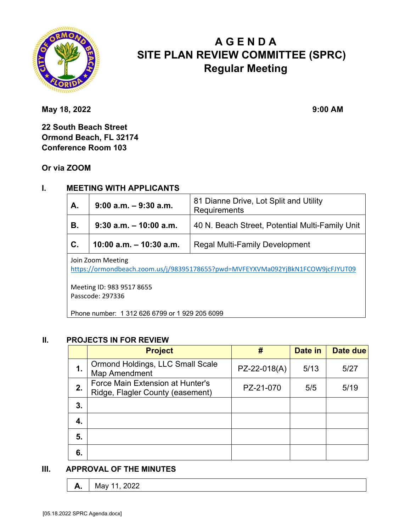

# **A G E N D A SITE PLAN REVIEW COMMITTEE (SPRC) Regular Meeting**

**May 18, 2022** 9:00 AM

**22 South Beach Street Ormond Beach, FL 32174 Conference Room 103** 

**Or via ZOOM**

### **I. MEETING WITH APPLICANTS**

| A.                | $9:00$ a.m. $-9:30$ a.m.  | 81 Dianne Drive, Lot Split and Utility<br>Requirements |  |  |
|-------------------|---------------------------|--------------------------------------------------------|--|--|
| В.                | $9:30$ a.m. $-10:00$ a.m. | 40 N. Beach Street, Potential Multi-Family Unit        |  |  |
| $\mathbf{C}$ .    | 10:00 a.m. $-$ 10:30 a.m. | <b>Regal Multi-Family Development</b>                  |  |  |
| Join Zoom Meeting |                           |                                                        |  |  |

https://ormondbeach.zoom.us/j/98395178655?pwd=MVFEYXVMa092YjBkN1FCOW9jcFJYUT09

Meeting ID: 983 9517 8655 Passcode: 297336

Phone number: 1 312 626 6799 or 1 929 205 6099

#### **II. PROJECTS IN FOR REVIEW**

|    | <b>Project</b>                                                       | #            | Date in | Date due |
|----|----------------------------------------------------------------------|--------------|---------|----------|
| 1. | Ormond Holdings, LLC Small Scale<br>Map Amendment                    | PZ-22-018(A) | 5/13    | 5/27     |
| 2. | Force Main Extension at Hunter's<br>Ridge, Flagler County (easement) | PZ-21-070    | 5/5     | 5/19     |
| 3. |                                                                      |              |         |          |
| 4. |                                                                      |              |         |          |
| 5. |                                                                      |              |         |          |
| 6. |                                                                      |              |         |          |

#### **III. APPROVAL OF THE MINUTES**

**A.** May 11, 2022